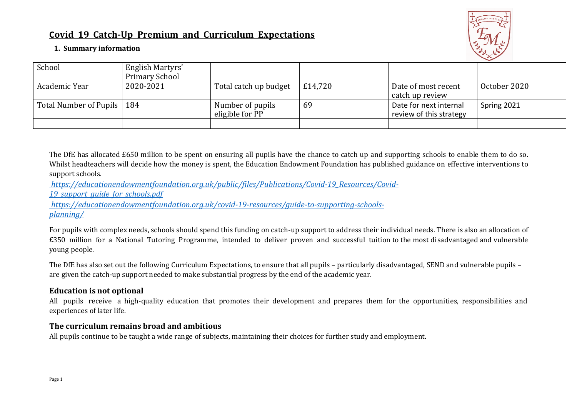# **Covid 19 Catch-Up Premium and Curriculum Expectations**



#### **1. Summary information**

| School                 | English Martyrs'<br>Primary School |                                     |         |                                                   |              |
|------------------------|------------------------------------|-------------------------------------|---------|---------------------------------------------------|--------------|
| Academic Year          | 2020-2021                          | Total catch up budget               | £14,720 | Date of most recent<br>catch up review            | October 2020 |
| Total Number of Pupils | 184                                | Number of pupils<br>eligible for PP | 69      | Date for next internal<br>review of this strategy | Spring 2021  |
|                        |                                    |                                     |         |                                                   |              |

The DfE has allocated £650 million to be spent on ensuring all pupils have the chance to catch up and supporting schools to enable them to do so. Whilst headteachers will decide how the money is spent, the Education Endowment Foundation has published guidance on effective interventions to support schools.

*[https://educationendowmentfoundation.org.uk/public/files/Publications/Covid-19\\_Resources/Covid-](https://educationendowmentfoundation.org.uk/public/files/Publications/Covid-19_Resources/Covid-19_support_guide_for_schools.pdf)[19\\_support\\_guide\\_for\\_schools.pdf](https://educationendowmentfoundation.org.uk/public/files/Publications/Covid-19_Resources/Covid-19_support_guide_for_schools.pdf)*

*[https://educationendowmentfoundation.org.uk/covid-19-resources/guide-to-supporting-schools](https://educationendowmentfoundation.org.uk/covid-19-resources/guide-to-supporting-schools-planning/)[planning/](https://educationendowmentfoundation.org.uk/covid-19-resources/guide-to-supporting-schools-planning/)*

For pupils with complex needs, schools should spend this funding on catch-up support to address their individual needs. There is also an allocation of £350 million for a National Tutoring Programme, intended to deliver proven and successful tuition to the most disadvantaged and vulnerable young people.

The DfE has also set out the following Curriculum Expectations, to ensure that all pupils – particularly disadvantaged, SEND and vulnerable pupils – are given the catch-up support needed to make substantial progress by the end of the academic year.

#### **Education is not optional**

All pupils receive a high-quality education that promotes their development and prepares them for the opportunities, responsibilities and experiences of later life.

#### **The curriculum remains broad and ambitious**

All pupils continue to be taught a wide range of subjects, maintaining their choices for further study and employment.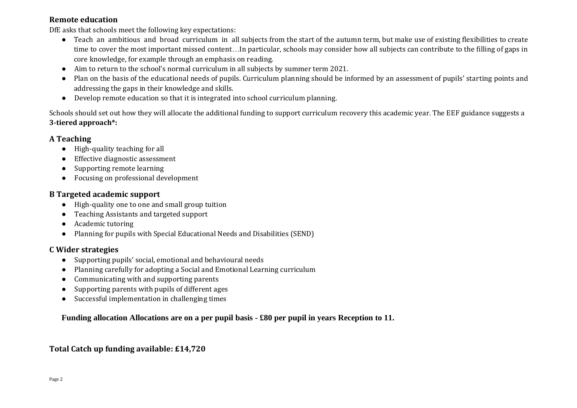#### **Remote education**

DfE asks that schools meet the following key expectations:

- Teach an ambitious and broad curriculum in all subjects from the start of the autumn term, but make use of existing flexibilities to create time to cover the most important missed content…In particular, schools may consider how all subjects can contribute to the filling of gaps in core knowledge, for example through an emphasis on reading.
- Aim to return to the school's normal curriculum in all subjects by summer term 2021.
- Plan on the basis of the educational needs of pupils. Curriculum planning should be informed by an assessment of pupils' starting points and addressing the gaps in their knowledge and skills.
- Develop remote education so that it is integrated into school curriculum planning.

Schools should set out how they will allocate the additional funding to support curriculum recovery this academic year. The EEF guidance suggests a **3-tiered approach\*:**

### **A Teaching**

- High-quality teaching for all
- Effective diagnostic assessment
- Supporting remote learning
- Focusing on professional development

### **B Targeted academic support**

- High-quality one to one and small group tuition
- Teaching Assistants and targeted support
- Academic tutoring
- Planning for pupils with Special Educational Needs and Disabilities (SEND)

### **C Wider strategies**

- Supporting pupils' social, emotional and behavioural needs
- Planning carefully for adopting a Social and Emotional Learning curriculum
- Communicating with and supporting parents
- Supporting parents with pupils of different ages
- Successful implementation in challenging times

### **Funding allocation Allocations are on a per pupil basis - £80 per pupil in years Reception to 11.**

## **Total Catch up funding available: £14,720**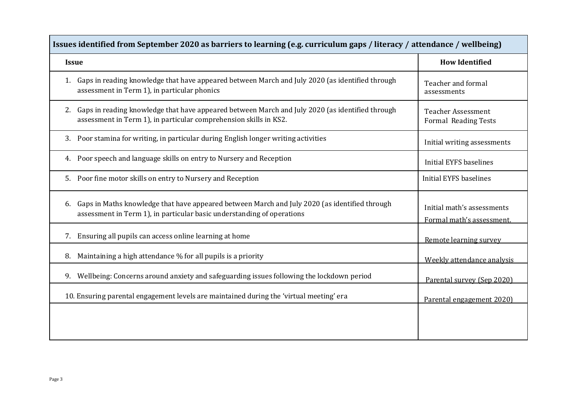| <b>Issue</b>                                                                                                                                                                  | <b>How Identified</b>                                    |
|-------------------------------------------------------------------------------------------------------------------------------------------------------------------------------|----------------------------------------------------------|
| Gaps in reading knowledge that have appeared between March and July 2020 (as identified through<br>1.<br>assessment in Term 1), in particular phonics                         | Teacher and formal<br>assessments                        |
| 2. Gaps in reading knowledge that have appeared between March and July 2020 (as identified through<br>assessment in Term 1), in particular comprehension skills in KS2.       | <b>Teacher Assessment</b><br><b>Formal Reading Tests</b> |
| 3. Poor stamina for writing, in particular during English longer writing activities                                                                                           | Initial writing assessments                              |
| 4. Poor speech and language skills on entry to Nursery and Reception                                                                                                          | Initial EYFS baselines                                   |
| 5. Poor fine motor skills on entry to Nursery and Reception                                                                                                                   | <b>Initial EYFS baselines</b>                            |
| Gaps in Maths knowledge that have appeared between March and July 2020 (as identified through<br>6.<br>assessment in Term 1), in particular basic understanding of operations | Initial math's assessments<br>Formal math's assessment.  |
| Ensuring all pupils can access online learning at home<br>7.                                                                                                                  | Remote learning survey                                   |
| Maintaining a high attendance % for all pupils is a priority<br>8.                                                                                                            | Weekly attendance analysis                               |
| 9. Wellbeing: Concerns around anxiety and safeguarding issues following the lockdown period                                                                                   | Parental survey (Sep 2020)                               |
| 10. Ensuring parental engagement levels are maintained during the 'virtual meeting' era                                                                                       | Parental engagement 2020)                                |
|                                                                                                                                                                               |                                                          |
|                                                                                                                                                                               |                                                          |